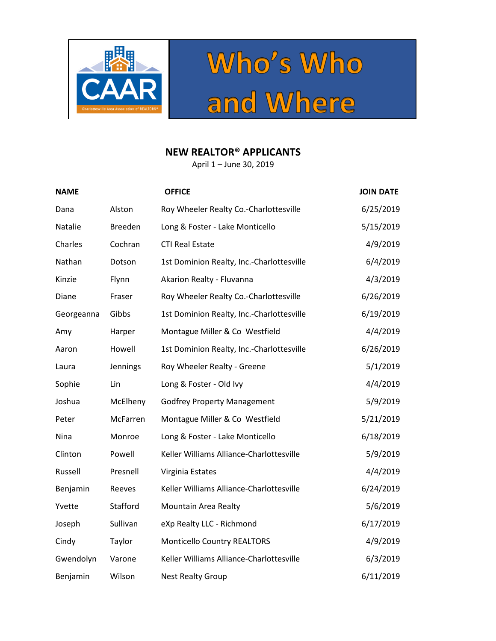



## **NEW REALTOR® APPLICANTS**

April 1 – June 30, 2019

| <b>NAME</b> |                | <b>OFFICE</b>                             | <b>JOIN DATE</b> |
|-------------|----------------|-------------------------------------------|------------------|
| Dana        | Alston         | Roy Wheeler Realty Co.-Charlottesville    | 6/25/2019        |
| Natalie     | <b>Breeden</b> | Long & Foster - Lake Monticello           | 5/15/2019        |
| Charles     | Cochran        | <b>CTI Real Estate</b>                    | 4/9/2019         |
| Nathan      | Dotson         | 1st Dominion Realty, Inc.-Charlottesville | 6/4/2019         |
| Kinzie      | Flynn          | Akarion Realty - Fluvanna                 | 4/3/2019         |
| Diane       | Fraser         | Roy Wheeler Realty Co.-Charlottesville    | 6/26/2019        |
| Georgeanna  | Gibbs          | 1st Dominion Realty, Inc.-Charlottesville | 6/19/2019        |
| Amy         | Harper         | Montague Miller & Co Westfield            | 4/4/2019         |
| Aaron       | Howell         | 1st Dominion Realty, Inc.-Charlottesville | 6/26/2019        |
| Laura       | Jennings       | Roy Wheeler Realty - Greene               | 5/1/2019         |
| Sophie      | Lin            | Long & Foster - Old Ivy                   | 4/4/2019         |
| Joshua      | McElheny       | <b>Godfrey Property Management</b>        | 5/9/2019         |
| Peter       | McFarren       | Montague Miller & Co Westfield            | 5/21/2019        |
| Nina        | Monroe         | Long & Foster - Lake Monticello           | 6/18/2019        |
| Clinton     | Powell         | Keller Williams Alliance-Charlottesville  | 5/9/2019         |
| Russell     | Presnell       | Virginia Estates                          | 4/4/2019         |
| Benjamin    | Reeves         | Keller Williams Alliance-Charlottesville  | 6/24/2019        |
| Yvette      | Stafford       | Mountain Area Realty                      | 5/6/2019         |
| Joseph      | Sullivan       | eXp Realty LLC - Richmond                 | 6/17/2019        |
| Cindy       | Taylor         | <b>Monticello Country REALTORS</b>        | 4/9/2019         |
| Gwendolyn   | Varone         | Keller Williams Alliance-Charlottesville  | 6/3/2019         |
| Benjamin    | Wilson         | <b>Nest Realty Group</b>                  | 6/11/2019        |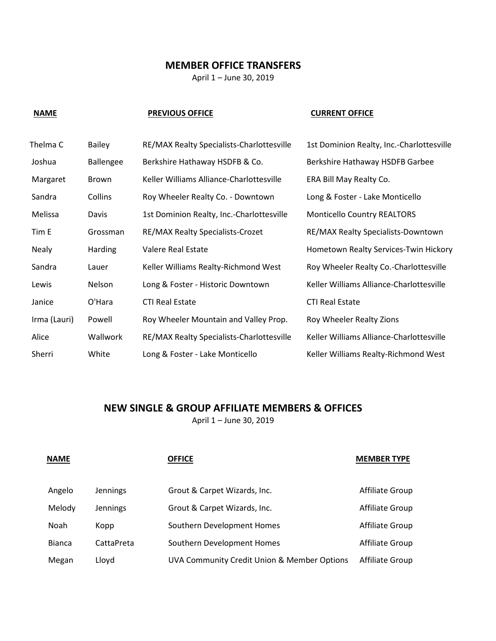### **MEMBER OFFICE TRANSFERS**

April 1 – June 30, 2019

### **NAME** PREVIOUS OFFICE **CURRENT OFFICE**

| Thelma C     | <b>Bailey</b>    | RE/MAX Realty Specialists-Charlottesville | 1st Dominion Realty, Inc.-Charlottesville |
|--------------|------------------|-------------------------------------------|-------------------------------------------|
| Joshua       | <b>Ballengee</b> | Berkshire Hathaway HSDFB & Co.            | Berkshire Hathaway HSDFB Garbee           |
| Margaret     | <b>Brown</b>     | Keller Williams Alliance-Charlottesville  | ERA Bill May Realty Co.                   |
| Sandra       | Collins          | Roy Wheeler Realty Co. - Downtown         | Long & Foster - Lake Monticello           |
| Melissa      | Davis            | 1st Dominion Realty, Inc.-Charlottesville | <b>Monticello Country REALTORS</b>        |
| Tim E        | Grossman         | RE/MAX Realty Specialists-Crozet          | RE/MAX Realty Specialists-Downtown        |
| <b>Nealy</b> | Harding          | Valere Real Estate                        | Hometown Realty Services-Twin Hickory     |
| Sandra       | Lauer            | Keller Williams Realty-Richmond West      | Roy Wheeler Realty Co.-Charlottesville    |
| Lewis        | Nelson           | Long & Foster - Historic Downtown         | Keller Williams Alliance-Charlottesville  |
| Janice       | O'Hara           | <b>CTI Real Estate</b>                    | <b>CTI Real Estate</b>                    |
| Irma (Lauri) | Powell           | Roy Wheeler Mountain and Valley Prop.     | Roy Wheeler Realty Zions                  |
| Alice        | Wallwork         | RE/MAX Realty Specialists-Charlottesville | Keller Williams Alliance-Charlottesville  |
| Sherri       | White            | Long & Foster - Lake Monticello           | Keller Williams Realty-Richmond West      |

# **NEW SINGLE & GROUP AFFILIATE MEMBERS & OFFICES**

April 1 – June 30, 2019

| <b>NAME</b>   |            | <b>OFFICE</b>                               | <b>MEMBER TYPE</b> |
|---------------|------------|---------------------------------------------|--------------------|
| Angelo        | Jennings   | Grout & Carpet Wizards, Inc.                | Affiliate Group    |
| Melody        | Jennings   | Grout & Carpet Wizards, Inc.                | Affiliate Group    |
| Noah          | Kopp       | Southern Development Homes                  | Affiliate Group    |
| <b>Bianca</b> | CattaPreta | Southern Development Homes                  | Affiliate Group    |
| Megan         | Lloyd      | UVA Community Credit Union & Member Options | Affiliate Group    |